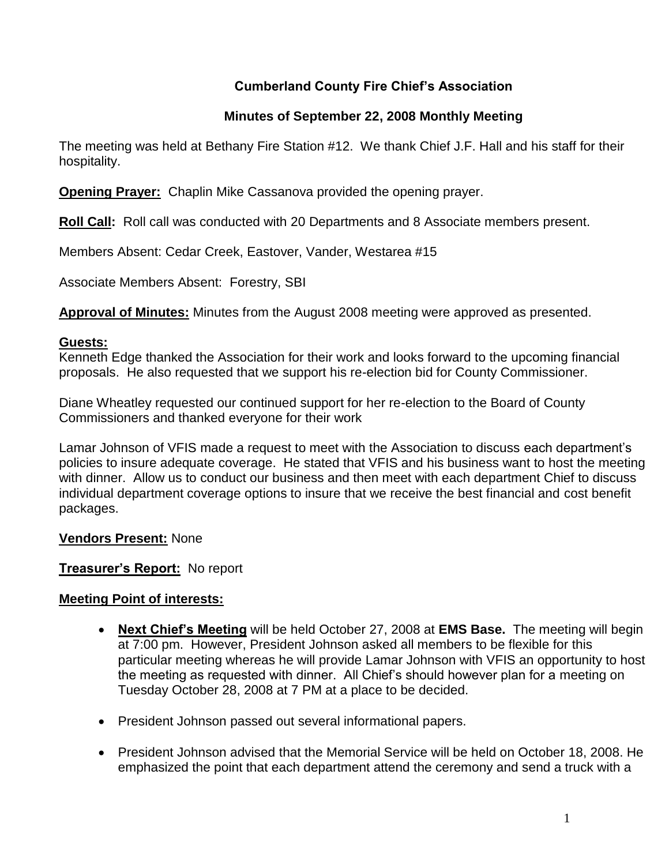# **Cumberland County Fire Chief's Association**

# **Minutes of September 22, 2008 Monthly Meeting**

The meeting was held at Bethany Fire Station #12. We thank Chief J.F. Hall and his staff for their hospitality.

**Opening Prayer:** Chaplin Mike Cassanova provided the opening prayer.

**Roll Call:** Roll call was conducted with 20 Departments and 8 Associate members present.

Members Absent: Cedar Creek, Eastover, Vander, Westarea #15

Associate Members Absent: Forestry, SBI

**Approval of Minutes:** Minutes from the August 2008 meeting were approved as presented.

#### **Guests:**

Kenneth Edge thanked the Association for their work and looks forward to the upcoming financial proposals. He also requested that we support his re-election bid for County Commissioner.

Diane Wheatley requested our continued support for her re-election to the Board of County Commissioners and thanked everyone for their work

Lamar Johnson of VFIS made a request to meet with the Association to discuss each department's policies to insure adequate coverage. He stated that VFIS and his business want to host the meeting with dinner. Allow us to conduct our business and then meet with each department Chief to discuss individual department coverage options to insure that we receive the best financial and cost benefit packages.

### **Vendors Present:** None

### **Treasurer's Report:** No report

### **Meeting Point of interests:**

- **Next Chief's Meeting** will be held October 27, 2008 at **EMS Base.** The meeting will begin at 7:00 pm. However, President Johnson asked all members to be flexible for this particular meeting whereas he will provide Lamar Johnson with VFIS an opportunity to host the meeting as requested with dinner. All Chief's should however plan for a meeting on Tuesday October 28, 2008 at 7 PM at a place to be decided.
- President Johnson passed out several informational papers.
- President Johnson advised that the Memorial Service will be held on October 18, 2008. He emphasized the point that each department attend the ceremony and send a truck with a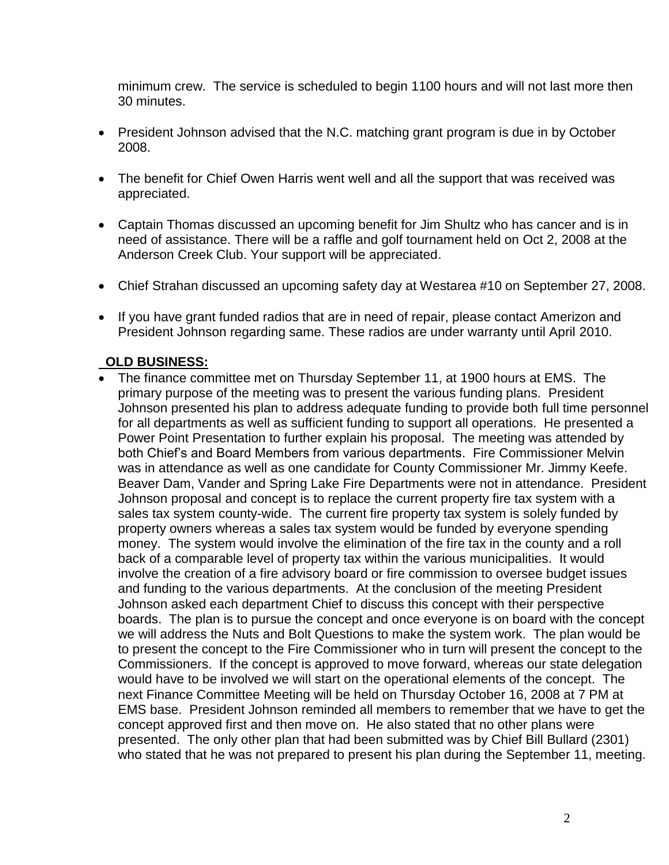minimum crew. The service is scheduled to begin 1100 hours and will not last more then 30 minutes.

- President Johnson advised that the N.C. matching grant program is due in by October 2008.
- The benefit for Chief Owen Harris went well and all the support that was received was appreciated.
- Captain Thomas discussed an upcoming benefit for Jim Shultz who has cancer and is in need of assistance. There will be a raffle and golf tournament held on Oct 2, 2008 at the Anderson Creek Club. Your support will be appreciated.
- Chief Strahan discussed an upcoming safety day at Westarea #10 on September 27, 2008.
- If you have grant funded radios that are in need of repair, please contact Amerizon and President Johnson regarding same. These radios are under warranty until April 2010.

### **OLD BUSINESS:**

 The finance committee met on Thursday September 11, at 1900 hours at EMS. The primary purpose of the meeting was to present the various funding plans. President Johnson presented his plan to address adequate funding to provide both full time personnel for all departments as well as sufficient funding to support all operations. He presented a Power Point Presentation to further explain his proposal. The meeting was attended by both Chief's and Board Members from various departments. Fire Commissioner Melvin was in attendance as well as one candidate for County Commissioner Mr. Jimmy Keefe. Beaver Dam, Vander and Spring Lake Fire Departments were not in attendance. President Johnson proposal and concept is to replace the current property fire tax system with a sales tax system county-wide. The current fire property tax system is solely funded by property owners whereas a sales tax system would be funded by everyone spending money. The system would involve the elimination of the fire tax in the county and a roll back of a comparable level of property tax within the various municipalities. It would involve the creation of a fire advisory board or fire commission to oversee budget issues and funding to the various departments. At the conclusion of the meeting President Johnson asked each department Chief to discuss this concept with their perspective boards. The plan is to pursue the concept and once everyone is on board with the concept we will address the Nuts and Bolt Questions to make the system work. The plan would be to present the concept to the Fire Commissioner who in turn will present the concept to the Commissioners. If the concept is approved to move forward, whereas our state delegation would have to be involved we will start on the operational elements of the concept. The next Finance Committee Meeting will be held on Thursday October 16, 2008 at 7 PM at EMS base. President Johnson reminded all members to remember that we have to get the concept approved first and then move on. He also stated that no other plans were presented. The only other plan that had been submitted was by Chief Bill Bullard (2301) who stated that he was not prepared to present his plan during the September 11, meeting.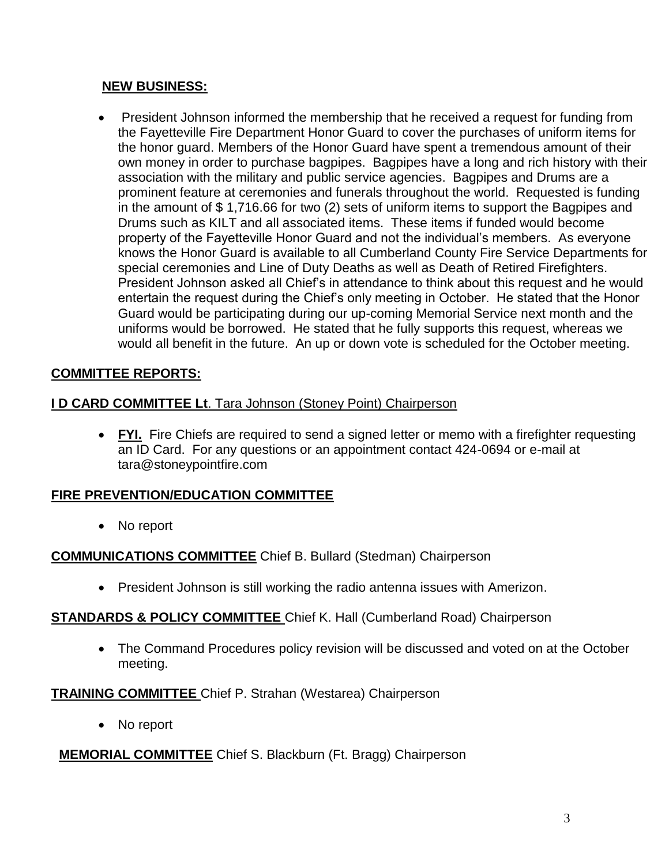## **NEW BUSINESS:**

• President Johnson informed the membership that he received a request for funding from the Fayetteville Fire Department Honor Guard to cover the purchases of uniform items for the honor guard. Members of the Honor Guard have spent a tremendous amount of their own money in order to purchase bagpipes. Bagpipes have a long and rich history with their association with the military and public service agencies. Bagpipes and Drums are a prominent feature at ceremonies and funerals throughout the world. Requested is funding in the amount of \$ 1,716.66 for two (2) sets of uniform items to support the Bagpipes and Drums such as KILT and all associated items. These items if funded would become property of the Fayetteville Honor Guard and not the individual's members. As everyone knows the Honor Guard is available to all Cumberland County Fire Service Departments for special ceremonies and Line of Duty Deaths as well as Death of Retired Firefighters. President Johnson asked all Chief's in attendance to think about this request and he would entertain the request during the Chief's only meeting in October. He stated that the Honor Guard would be participating during our up-coming Memorial Service next month and the uniforms would be borrowed. He stated that he fully supports this request, whereas we would all benefit in the future. An up or down vote is scheduled for the October meeting.

## **COMMITTEE REPORTS:**

### **I D CARD COMMITTEE Lt**. Tara Johnson (Stoney Point) Chairperson

 **FYI.** Fire Chiefs are required to send a signed letter or memo with a firefighter requesting an ID Card. For any questions or an appointment contact 424-0694 or e-mail at [tara@stoneypointfire.com](mailto:tara@stoneypointfire.com)

### **FIRE PREVENTION/EDUCATION COMMITTEE**

• No report

### **COMMUNICATIONS COMMITTEE** Chief B. Bullard (Stedman) Chairperson

• President Johnson is still working the radio antenna issues with Amerizon.

### **STANDARDS & POLICY COMMITTEE** Chief K. Hall (Cumberland Road) Chairperson

 The Command Procedures policy revision will be discussed and voted on at the October meeting.

### **TRAINING COMMITTEE** Chief P. Strahan (Westarea) Chairperson

• No report

### **MEMORIAL COMMITTEE** Chief S. Blackburn (Ft. Bragg) Chairperson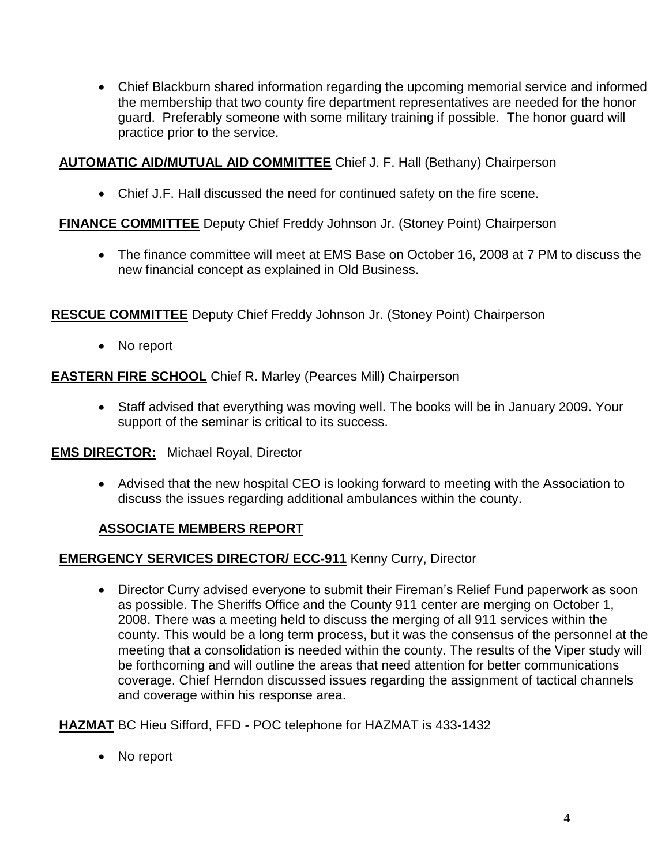Chief Blackburn shared information regarding the upcoming memorial service and informed the membership that two county fire department representatives are needed for the honor guard. Preferably someone with some military training if possible. The honor guard will practice prior to the service.

### **AUTOMATIC AID/MUTUAL AID COMMITTEE** Chief J. F. Hall (Bethany) Chairperson

Chief J.F. Hall discussed the need for continued safety on the fire scene.

## **FINANCE COMMITTEE** Deputy Chief Freddy Johnson Jr. (Stoney Point) Chairperson

 The finance committee will meet at EMS Base on October 16, 2008 at 7 PM to discuss the new financial concept as explained in Old Business.

**RESCUE COMMITTEE** Deputy Chief Freddy Johnson Jr. (Stoney Point) Chairperson

• No report

**EASTERN FIRE SCHOOL** Chief R. Marley (Pearces Mill) Chairperson

 Staff advised that everything was moving well. The books will be in January 2009. Your support of the seminar is critical to its success.

### **EMS DIRECTOR:** Michael Royal, Director

 Advised that the new hospital CEO is looking forward to meeting with the Association to discuss the issues regarding additional ambulances within the county.

### **ASSOCIATE MEMBERS REPORT**

### **EMERGENCY SERVICES DIRECTOR/ ECC-911** Kenny Curry, Director

 Director Curry advised everyone to submit their Fireman's Relief Fund paperwork as soon as possible. The Sheriffs Office and the County 911 center are merging on October 1, 2008. There was a meeting held to discuss the merging of all 911 services within the county. This would be a long term process, but it was the consensus of the personnel at the meeting that a consolidation is needed within the county. The results of the Viper study will be forthcoming and will outline the areas that need attention for better communications coverage. Chief Herndon discussed issues regarding the assignment of tactical channels and coverage within his response area.

**HAZMAT** BC Hieu Sifford, FFD - POC telephone for HAZMAT is 433-1432

• No report